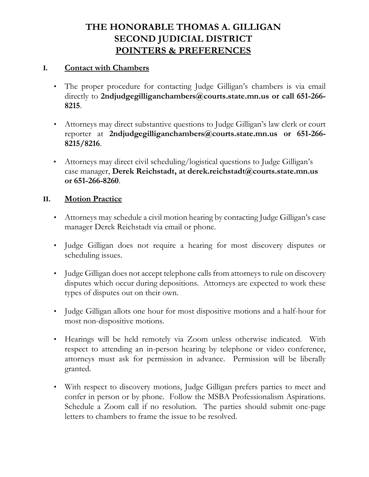# **THE HONORABLE THOMAS A. GILLIGAN SECOND JUDICIAL DISTRICT POINTERS & PREFERENCES**

#### **I. Contact with Chambers**

- The proper procedure for contacting Judge Gilligan's chambers is via email directly to **[2ndjudgegilliganchambers@courts.state.mn.us](mailto:2ndjudgegilliganchambers@courts.state.mn.us) or call 651-266- 8215**.
- Attorneys may direct substantive questions to Judge Gilligan's law clerk or court reporter at **[2ndjudgegilliganchambers@courts.state.mn.us](mailto:2ndjudgegilliganchambers@courts.state.mn.us) or 651-266- 8215/8216**.
- Attorneys may direct civil scheduling/logistical questions to Judge Gilligan's case manager, **Derek Reichstadt, at [derek.reichstadt@courts.state.mn.us](mailto:anna.vue@courts.state.mn.us) or 651-266-8260**.

#### **II. Motion Practice**

- Attorneys may schedule a civil motion hearing by contacting Judge Gilligan's case manager Derek Reichstadt via email or phone.
- Judge Gilligan does not require a hearing for most discovery disputes or scheduling issues.
- Judge Gilligan does not accept telephone calls from attorneys to rule on discovery disputes which occur during depositions. Attorneys are expected to work these types of disputes out on their own.
- Judge Gilligan allots one hour for most dispositive motions and a half-hour for most non-dispositive motions.
- Hearings will be held remotely via Zoom unless otherwise indicated. With respect to attending an in-person hearing by telephone or video conference, attorneys must ask for permission in advance. Permission will be liberally granted.
- With respect to discovery motions, Judge Gilligan prefers parties to meet and confer in person or by phone. Follow the MSBA Professionalism Aspirations. Schedule a Zoom call if no resolution. The parties should submit one-page letters to chambers to frame the issue to be resolved.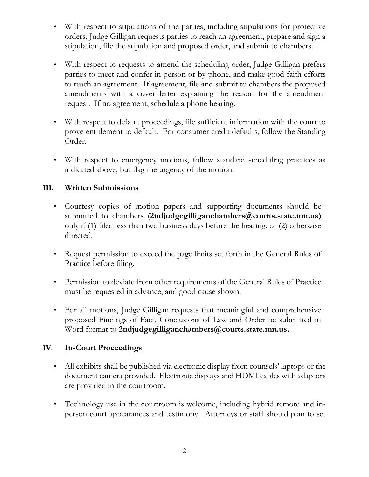- With respect to stipulations of the parties, including stipulations for protective orders, Judge Gilligan requests parties to reach an agreement, prepare and sign a stipulation, file the stipulation and proposed order, and submit to chambers.
- With respect to requests to amend the scheduling order, Judge Gilligan prefers parties to meet and confer in person or by phone, and make good faith efforts to reach an agreement. If agreement, file and submit to chambers the proposed amendments with a cover letter explaining the reason for the amendment request. If no agreement, schedule a phone hearing.
- With respect to default proceedings, file sufficient information with the court to prove entitlement to default. For consumer credit defaults, follow the Standing Order.
- With respect to emergency motions, follow standard scheduling practices as indicated above, but flag the urgency of the motion.

### **III. Written Submissions**

- Courtesy copies of motion papers and supporting documents should be submitted to chambers (**2ndjudgegilliganchambers@courts.state.mn.us)**  only if (1) filed less than two business days before the hearing; or (2) otherwise directed.
- Request permission to exceed the page limits set forth in the General Rules of Practice before filing.
- Permission to deviate from other requirements of the General Rules of Practice must be requested in advance, and good cause shown.
- For all motions, Judge Gilligan requests that meaningful and comprehensive proposed Findings of Fact, Conclusions of Law and Order be submitted in Word format to **[2ndjudgegilliganchambers@courts.state.mn.us.](mailto:2ndjudgegilliganchambers@courts.state.mn.us)**

#### **IV. In-Court Proceedings**

- All exhibits shall be published via electronic display from counsels' laptops or the document camera provided. Electronic displays and HDMI cables with adaptors are provided in the courtroom.
- Technology use in the courtroom is welcome, including hybrid remote and inperson court appearances and testimony. Attorneys or staff should plan to set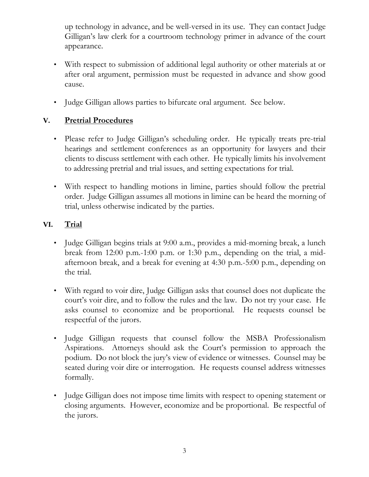up technology in advance, and be well-versed in its use. They can contact Judge Gilligan's law clerk for a courtroom technology primer in advance of the court appearance.

- With respect to submission of additional legal authority or other materials at or after oral argument, permission must be requested in advance and show good cause.
- Judge Gilligan allows parties to bifurcate oral argument. See below.

## **V. Pretrial Procedures**

- Please refer to Judge Gilligan's scheduling order. He typically treats pre-trial hearings and settlement conferences as an opportunity for lawyers and their clients to discuss settlement with each other. He typically limits his involvement to addressing pretrial and trial issues, and setting expectations for trial.
- With respect to handling motions in limine, parties should follow the pretrial order. Judge Gilligan assumes all motions in limine can be heard the morning of trial, unless otherwise indicated by the parties.

# **VI. Trial**

- Judge Gilligan begins trials at 9:00 a.m., provides a mid-morning break, a lunch break from 12:00 p.m.-1:00 p.m. or 1:30 p.m., depending on the trial, a midafternoon break, and a break for evening at 4:30 p.m.-5:00 p.m., depending on the trial.
- With regard to voir dire, Judge Gilligan asks that counsel does not duplicate the court's voir dire, and to follow the rules and the law. Do not try your case. He asks counsel to economize and be proportional. He requests counsel be respectful of the jurors.
- Judge Gilligan requests that counsel follow the MSBA Professionalism Aspirations. Attorneys should ask the Court's permission to approach the podium. Do not block the jury's view of evidence or witnesses. Counsel may be seated during voir dire or interrogation. He requests counsel address witnesses formally.
- Judge Gilligan does not impose time limits with respect to opening statement or closing arguments. However, economize and be proportional. Be respectful of the jurors.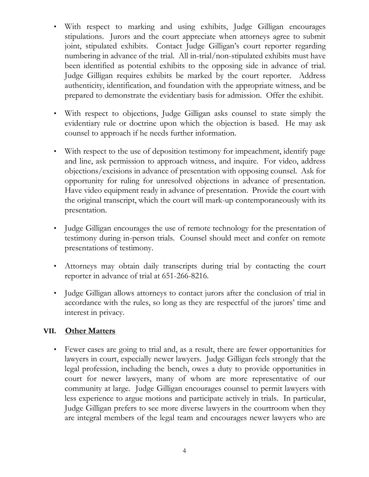- With respect to marking and using exhibits, Judge Gilligan encourages stipulations. Jurors and the court appreciate when attorneys agree to submit joint, stipulated exhibits. Contact Judge Gilligan's court reporter regarding numbering in advance of the trial. All in-trial/non-stipulated exhibits must have been identified as potential exhibits to the opposing side in advance of trial. Judge Gilligan requires exhibits be marked by the court reporter. Address authenticity, identification, and foundation with the appropriate witness, and be prepared to demonstrate the evidentiary basis for admission. Offer the exhibit.
- With respect to objections, Judge Gilligan asks counsel to state simply the evidentiary rule or doctrine upon which the objection is based. He may ask counsel to approach if he needs further information.
- With respect to the use of deposition testimony for impeachment, identify page and line, ask permission to approach witness, and inquire. For video, address objections/excisions in advance of presentation with opposing counsel. Ask for opportunity for ruling for unresolved objections in advance of presentation. Have video equipment ready in advance of presentation. Provide the court with the original transcript, which the court will mark-up contemporaneously with its presentation.
- Judge Gilligan encourages the use of remote technology for the presentation of testimony during in-person trials. Counsel should meet and confer on remote presentations of testimony.
- Attorneys may obtain daily transcripts during trial by contacting the court reporter in advance of trial at 651-266-8216.
- Judge Gilligan allows attorneys to contact jurors after the conclusion of trial in accordance with the rules, so long as they are respectful of the jurors' time and interest in privacy.

### **VII. Other Matters**

• Fewer cases are going to trial and, as a result, there are fewer opportunities for lawyers in court, especially newer lawyers. Judge Gilligan feels strongly that the legal profession, including the bench, owes a duty to provide opportunities in court for newer lawyers, many of whom are more representative of our community at large. Judge Gilligan encourages counsel to permit lawyers with less experience to argue motions and participate actively in trials. In particular, Judge Gilligan prefers to see more diverse lawyers in the courtroom when they are integral members of the legal team and encourages newer lawyers who are